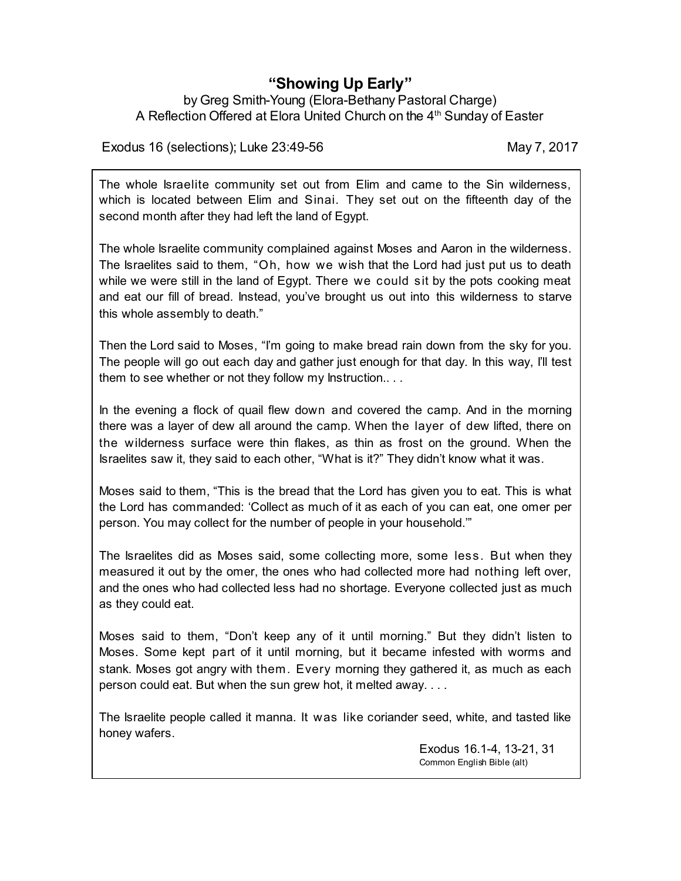## **"Showing Up Early"**

## by Greg Smith-Young (Elora-Bethany Pastoral Charge) A Reflection Offered at Elora United Church on the 4<sup>th</sup> Sunday of Easter

Exodus 16 (selections); Luke 23:49-56 May 7, 2017

The whole Israelite community set out from Elim and came to the Sin wilderness, which is located between Elim and Sinai. They set out on the fifteenth day of the second month after they had left the land of Egypt.

The whole Israelite community complained against Moses and Aaron in the wilderness. The Israelites said to them, "Oh, how we wish that the Lord had just put us to death while we were still in the land of Egypt. There we could sit by the pots cooking meat and eat our fill of bread. Instead, you've brought us out into this wilderness to starve this whole assembly to death."

Then the Lord said to Moses, "I'm going to make bread rain down from the sky for you. The people will go out each day and gather just enough for that day. In this way, I'll test them to see whether or not they follow my Instruction.. . .

In the evening a flock of quail flew down and covered the camp. And in the morning there was a layer of dew all around the camp. When the layer of dew lifted, there on the wilderness surface were thin flakes, as thin as frost on the ground. When the Israelites saw it, they said to each other, "What is it?" They didn't know what it was.

Moses said to them, "This is the bread that the Lord has given you to eat. This is what the Lord has commanded: 'Collect as much of it as each of you can eat, one omer per person. You may collect for the number of people in your household.'"

The Israelites did as Moses said, some collecting more, some less. But when they measured it out by the omer, the ones who had collected more had nothing left over, and the ones who had collected less had no shortage. Everyone collected just as much as they could eat.

Moses said to them, "Don't keep any of it until morning." But they didn't listen to Moses. Some kept part of it until morning, but it became infested with worms and stank. Moses got angry with them. Every morning they gathered it, as much as each person could eat. But when the sun grew hot, it melted away. . . .

The Israelite people called it manna. It was like coriander seed, white, and tasted like honey wafers.

> Exodus 16.1-4, 13-21, 31 Common English Bible (alt)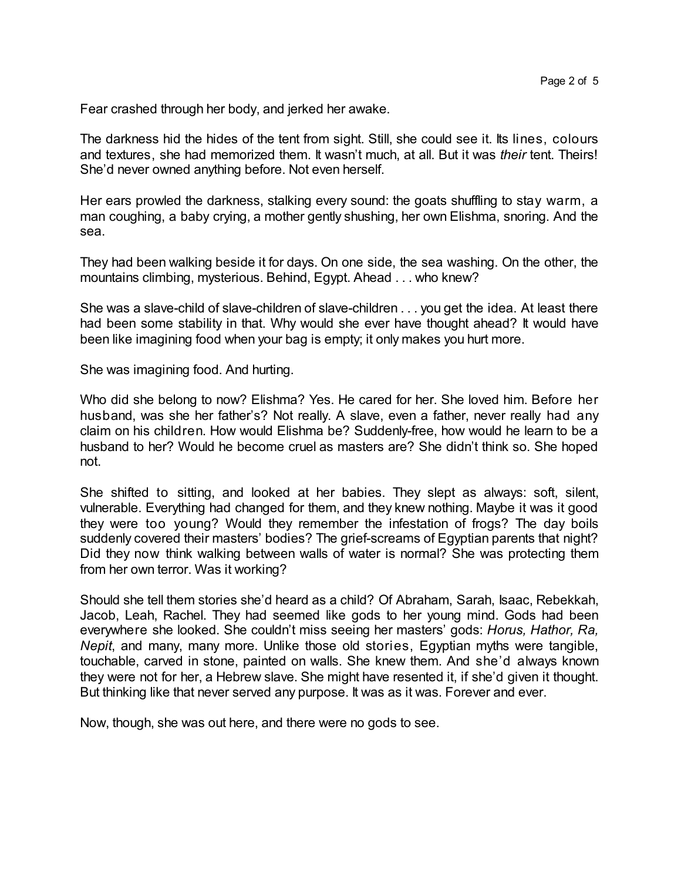Fear crashed through her body, and jerked her awake.

The darkness hid the hides of the tent from sight. Still, she could see it. Its lines, colours and textures, she had memorized them. It wasn't much, at all. But it was *their* tent. Theirs! She'd never owned anything before. Not even herself.

Her ears prowled the darkness, stalking every sound: the goats shuffling to stay warm, a man coughing, a baby crying, a mother gently shushing, her own Elishma, snoring. And the sea.

They had been walking beside it for days. On one side, the sea washing. On the other, the mountains climbing, mysterious. Behind, Egypt. Ahead . . . who knew?

She was a slave-child of slave-children of slave-children . . . you get the idea. At least there had been some stability in that. Why would she ever have thought ahead? It would have been like imagining food when your bag is empty; it only makes you hurt more.

She was imagining food. And hurting.

Who did she belong to now? Elishma? Yes. He cared for her. She loved him. Before her husband, was she her father's? Not really. A slave, even a father, never really had any claim on his children. How would Elishma be? Suddenly-free, how would he learn to be a husband to her? Would he become cruel as masters are? She didn't think so. She hoped not.

She shifted to sitting, and looked at her babies. They slept as always: soft, silent, vulnerable. Everything had changed for them, and they knew nothing. Maybe it was it good they were too young? Would they remember the infestation of frogs? The day boils suddenly covered their masters' bodies? The grief-screams of Egyptian parents that night? Did they now think walking between walls of water is normal? She was protecting them from her own terror. Was it working?

Should she tell them stories she'd heard as a child? Of Abraham, Sarah, Isaac, Rebekkah, Jacob, Leah, Rachel. They had seemed like gods to her young mind. Gods had been everywhere she looked. She couldn't miss seeing her masters' gods: *Horus, Hathor, Ra, Nepit*, and many, many more. Unlike those old stories, Egyptian myths were tangible, touchable, carved in stone, painted on walls. She knew them. And she'd always known they were not for her, a Hebrew slave. She might have resented it, if she'd given it thought. But thinking like that never served any purpose. It was as it was. Forever and ever.

Now, though, she was out here, and there were no gods to see.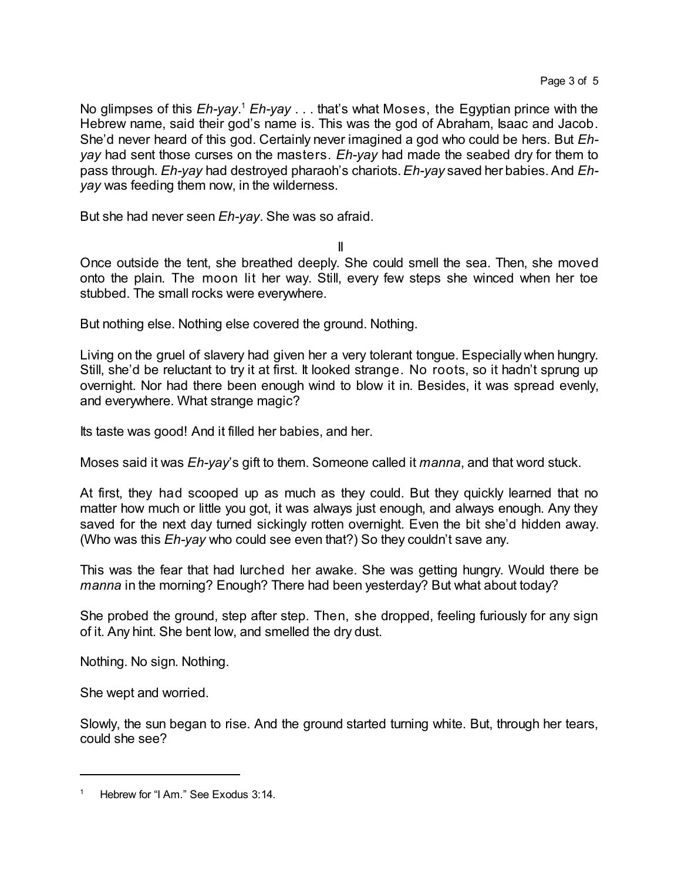No glimpses of this *Eh-yay*. <sup>1</sup> *Eh-yay* . . . that's what Moses, the Egyptian prince with the Hebrew name, said their god's name is. This was the god of Abraham, Isaac and Jacob. She'd never heard of this god. Certainly never imagined a god who could be hers. But *Ehyay* had sent those curses on the masters. *Eh-yay* had made the seabed dry for them to pass through. *Eh-yay* had destroyed pharaoh's chariots.*Eh-yay* saved her babies.And *Ehyay* was feeding them now, in the wilderness.

But she had never seen *Eh-yay*. She was so afraid.

II

Once outside the tent, she breathed deeply. She could smell the sea. Then, she moved onto the plain. The moon lit her way. Still, every few steps she winced when her toe stubbed. The small rocks were everywhere.

But nothing else. Nothing else covered the ground. Nothing.

Living on the gruel of slavery had given her a very tolerant tongue. Especially when hungry. Still, she'd be reluctant to try it at first. It looked strange. No roots, so it hadn't sprung up overnight. Nor had there been enough wind to blow it in. Besides, it was spread evenly, and everywhere. What strange magic?

Its taste was good! And it filled her babies, and her.

Moses said it was *Eh-yay*'s gift to them. Someone called it *manna*, and that word stuck.

At first, they had scooped up as much as they could. But they quickly learned that no matter how much or little you got, it was always just enough, and always enough. Any they saved for the next day turned sickingly rotten overnight. Even the bit she'd hidden away. (Who was this *Eh-yay* who could see even that?) So they couldn't save any.

This was the fear that had lurched her awake. She was getting hungry. Would there be *manna* in the morning? Enough? There had been yesterday? But what about today?

She probed the ground, step after step. Then, she dropped, feeling furiously for any sign of it. Any hint. She bent low, and smelled the dry dust.

Nothing. No sign. Nothing.

She wept and worried.

Slowly, the sun began to rise. And the ground started turning white. But, through her tears, could she see?

Hebrew for "I Am." See Exodus 3:14.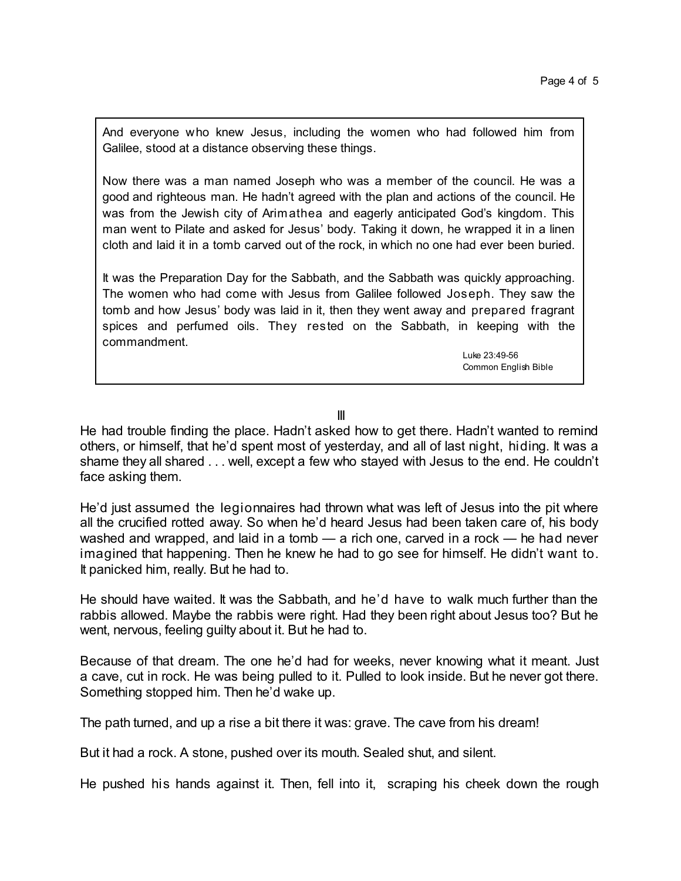And everyone who knew Jesus, including the women who had followed him from Galilee, stood at a distance observing these things.

Now there was a man named Joseph who was a member of the council. He was a good and righteous man. He hadn't agreed with the plan and actions of the council. He was from the Jewish city of Arimathea and eagerly anticipated God's kingdom. This man went to Pilate and asked for Jesus' body. Taking it down, he wrapped it in a linen cloth and laid it in a tomb carved out of the rock, in which no one had ever been buried.

It was the Preparation Day for the Sabbath, and the Sabbath was quickly approaching. The women who had come with Jesus from Galilee followed Joseph. They saw the tomb and how Jesus' body was laid in it, then they went away and prepared fragrant spices and perfumed oils. They rested on the Sabbath, in keeping with the commandment.

> Luke 23:49-56 Common English Bible

III

He had trouble finding the place. Hadn't asked how to get there. Hadn't wanted to remind others, or himself, that he'd spent most of yesterday, and all of last night, hiding. It was a shame they all shared . . . well, except a few who stayed with Jesus to the end. He couldn't face asking them.

He'd just assumed the legionnaires had thrown what was left of Jesus into the pit where all the crucified rotted away. So when he'd heard Jesus had been taken care of, his body washed and wrapped, and laid in a tomb — a rich one, carved in a rock — he had never imagined that happening. Then he knew he had to go see for himself. He didn't want to. It panicked him, really. But he had to.

He should have waited. It was the Sabbath, and he'd have to walk much further than the rabbis allowed. Maybe the rabbis were right. Had they been right about Jesus too? But he went, nervous, feeling guilty about it. But he had to.

Because of that dream. The one he'd had for weeks, never knowing what it meant. Just a cave, cut in rock. He was being pulled to it. Pulled to look inside. But he never got there. Something stopped him. Then he'd wake up.

The path turned, and up a rise a bit there it was: grave. The cave from his dream!

But it had a rock. A stone, pushed over its mouth. Sealed shut, and silent.

He pushed his hands against it. Then, fell into it, scraping his cheek down the rough